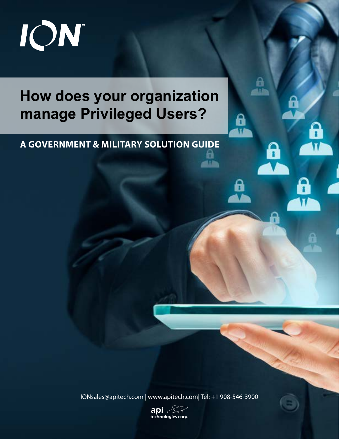

# **How does your organization manage Privileged Users?**

o

0

θ

'n

# **A GOVERNMENT & MILITARY SOLUTION GUIDE**

IONsales@apitech.com | www.apitech.com| Tel: +1 908-546-3900

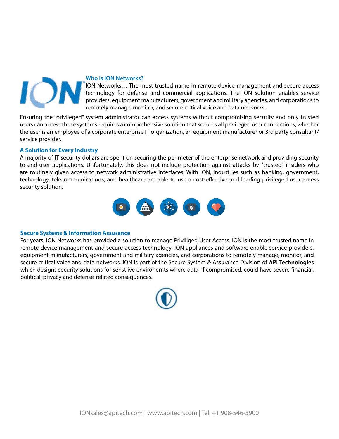

#### **Who is ION Networks?**

ION Networks… The most trusted name in remote device management and secure access technology for defense and commercial applications. The ION solution enables service providers, equipment manufacturers, government and military agencies, and corporations to remotely manage, monitor, and secure critical voice and data networks.

Ensuring the "privileged" system administrator can access systems without compromising security and only trusted users can access these systems requires a comprehensive solution that secures all privileged user connections; whether the user is an employee of a corporate enterprise IT organization, an equipment manufacturer or 3rd party consultant/ service provider.

## **A Solution for Every Industry**

technology, telecommunications, and healthcare are able to use a cost-effective and leading privileged user access A majority of IT security dollars are spent on securing the perimeter of the enterprise network and providing security to end-user applications. Unfortunately, this does not include protection against attacks by "trusted" insiders who are routinely given access to network administrative interfaces. With ION, industries such as banking, government, security solution.



### **Secure Systems & Information Assurance**

For years, ION Networks has provided a solution to manage Priviliged User Access. ION is the most trusted name in remote device management and secure access technology. ION appliances and software enable service providers, equipment manufacturers, government and military agencies, and corporations to remotely manage, monitor, and secure critical voice and data networks. ION is part of the Secure System & Assurance Division of **API Technologies** which designs security solutions for senstiive environemts where data, if compromised, could have severe financial, political, privacy and defense-related consequences.

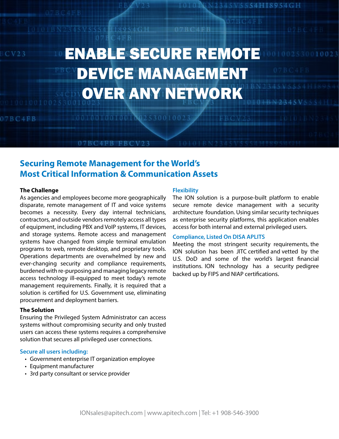# $CV23$

7 B C 4 F B

# ENABLE SECURE REMOTE DEVICE MANAGEMENT OVER ANY NETWORK

# **Securing Remote Management for the World's Most Critical Information & Communication Assets**

07BC4FB FBCV23

100100100100100253001002

#### **The Challenge**

As agencies and employees become more geographically disparate, remote management of IT and voice systems becomes a necessity. Every day internal technicians, contractors, and outside vendors remotely access all types of equipment, including PBX and VoIP systems, IT devices, and storage systems. Remote access and management systems have changed from simple terminal emulation programs to web, remote desktop, and proprietary tools. Operations departments are overwhelmed by new and ever-changing security and compliance requirements, burdened with re-purposing and managing legacy remote access technology ill-equipped to meet today's remote management requirements. Finally, it is required that a solution is certified for U.S. Government use, eliminating procurement and deployment barriers.

#### **The Solution**

Ensuring the Privileged System Administrator can access systems without compromising security and only trusted users can access these systems requires a comprehensive solution that secures all privileged user connections.

### **Secure all users including:**

- Government enterprise IT organization employee
- Equipment manufacturer
- 3rd party consultant or service provider

#### **Flexibility**

07BC4EB

The ION solution is a purpose-built platform to enable secure remote device management with a security architecture foundation. Using similar security techniques as enterprise security platforms, this application enables access for both internal and external privileged users.

34 S V S S S 4 H I 8 9 S 4 G H

002530010023

#### **Compliance, Listed On DISA APLITS**

Meeting the most stringent security requirements, the ION solution has been JITC certified and vetted by the U.S. DoD and some of the world's largest financial institutions. ION technology has a security pedigree backed up by FIPS and NIAP certifications.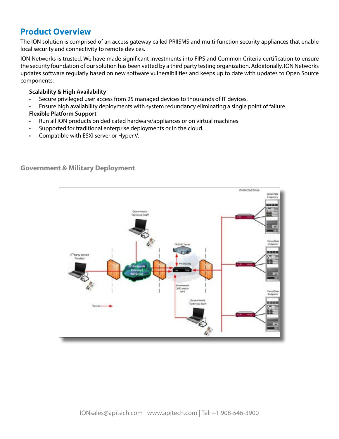# **Product Overview**

The ION solution is comprised of an access gateway called PRIISMS and multi-function security appliances that enable local security and connectivity to remote devices.

ION Networks is trusted. We have made significant investments into FIPS and Common Criteria certification to ensure the security foundation of our solution has been vetted by a third party testing organization. Addiitonally, ION Networks updates software regularly based on new software vulneralbilities and keeps up to date with updates to Open Source components.

## **Scalability & High Availability**

- Secure privileged user access from 25 managed devices to thousands of IT devices.
- Ensure high availability deployments with system redundancy eliminating a single point of failure.

# **Flexible Platform Support**

- Run all ION products on dedicated hardware/appliances or on virtual machines
- Supported for traditional enterprise deployments or in the cloud.
- Compatible with ESXI server or Hyper V.



# **Government & Military Deployment**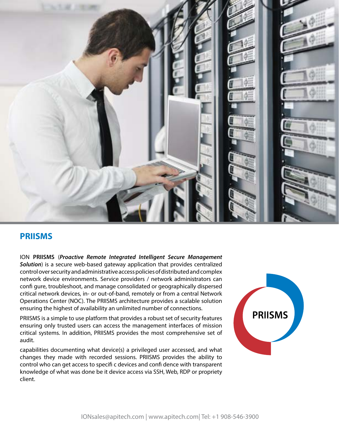

# **PRIISMS**

ION **PRIISMS** (*Proactive Remote Integrated Intelligent Secure Management Solution*) is a secure web-based gateway application that provides centralized control over security and administrative access policies of distributed and complex network device environments. Service providers / network administrators can confi gure, troubleshoot, and manage consolidated or geographically dispersed critical network devices, in- or out-of-band, remotely or from a central Network Operations Center (NOC). The PRIISMS architecture provides a scalable solution ensuring the highest of availability an unlimited number of connections.

PRIISMS is a simple to use platform that provides a robust set of security features ensuring only trusted users can access the management interfaces of mission critical systems. In addition, PRIISMS provides the most comprehensive set of audit.

capabilities documenting what device(s) a privileged user accessed, and what changes they made with recorded sessions. PRIISMS provides the ability to control who can get access to specifi c devices and confi dence with transparent knowledge of what was done be it device access via SSH, Web, RDP or propriety client.

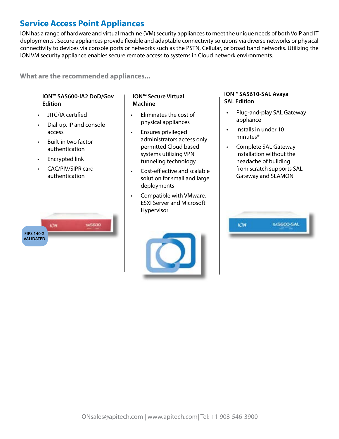# **Service Access Point Appliances**

ION has a range of hardware and virtual machine (VM) security appliances to meet the unique needs of both VoIP and IT deployments . Secure appliances provide flexible and adaptable connectivity solutions via diverse networks or physical connectivity to devices via console ports or networks such as the PSTN, Cellular, or broad band networks. Utilizing the ION VM security appliance enables secure remote access to systems in Cloud network environments.

**What are the recommended appliances...**

## **ION™ SA5600-IA2 DoD/Gov Edition**

- JITC/IA certified
- Dial-up, IP and console access
- Built-in two factor authentication
- Encrypted link
- CAC/PIV/SIPR card authentication

## **ION™ Secure Virtual Machine**

- Eliminates the cost of physical appliances
- Ensures privileged administrators access only permitted Cloud based systems utilizing VPN tunneling technology
- Cost-eff ective and scalable solution for small and large deployments
- Compatible with VMware, ESXI Server and Microsoft Hypervisor



## **ION™ SA5610-SAL Avaya SAL Edition**

- Plug-and-play SAL Gateway appliance
- Installs in under 10 minutes\*
- Complete SAL Gateway installation without the headache of building from scratch supports SAL Gateway and SLAMON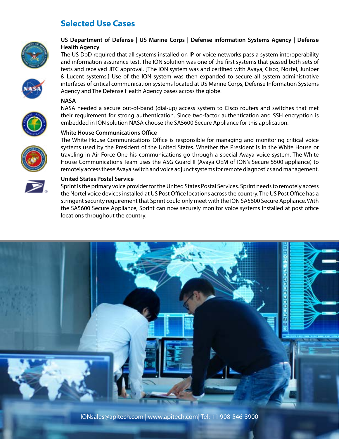# **Selected Use Cases**



## **US Department of Defense | US Marine Corps | Defense information Systems Agency | Defense Health Agency**

The US DoD required that all systems installed on IP or voice networks pass a system interoperability and information assurance test. The ION solution was one of the first systems that passed both sets of tests and received JITC approval. [The ION system was and certified with Avaya, Cisco, Nortel, Juniper & Lucent systems.] Use of the ION system was then expanded to secure all system administrative interfaces of critical communication systems located at US Marine Corps, Defense Information Systems Agency and The Defense Health Agency bases across the globe.

### **NASA**



NASA needed a secure out-of-band (dial-up) access system to Cisco routers and switches that met their requirement for strong authentication. Since two-factor authentication and SSH encryption is embedded in ION solution NASA choose the SA5600 Secure Appliance for this application.

### **White House Communications Office**

The White House Communications Office is responsible for managing and monitoring critical voice systems used by the President of the United States. Whether the President is in the White House or traveling in Air Force One his communications go through a special Avaya voice system. The White House Communications Team uses the ASG Guard II (Avaya OEM of ION's Secure 5500 appliance) to remotely access these Avaya switch and voice adjunct systems for remote diagnostics and management.



### **United States Postal Service**

Sprint is the primary voice provider for the United States Postal Services. Sprint needs to remotely access the Nortel voice devices installed at US Post Office locations across the country. The US Post Office has a stringent security requirement that Sprint could only meet with the ION SA5600 Secure Appliance. With the SA5600 Secure Appliance, Sprint can now securely monitor voice systems installed at post office locations throughout the country.



IONsales@apitech.com | www.apitech.com| Tel: +1 908-546-3900